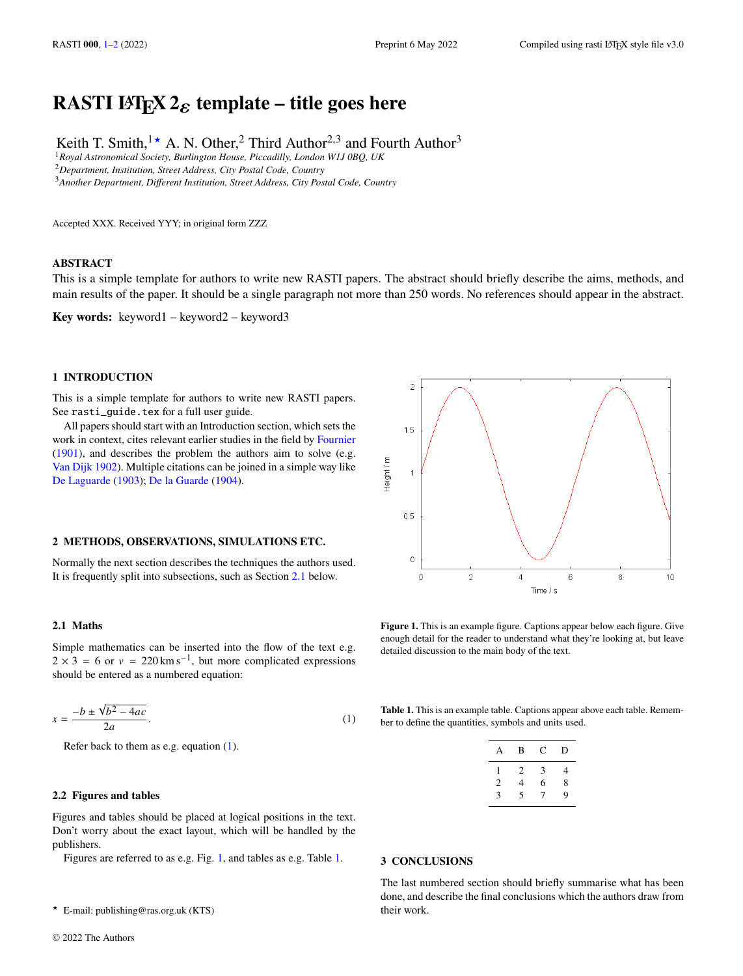# **RASTI LATEX 2** $\epsilon$  template – title goes here

Keith T. Smith,<sup>1★</sup> A. N. Other,<sup>2</sup> Third Author<sup>2,3</sup> and Fourth Author<sup>3</sup>

<sup>1</sup>*Royal Astronomical Society, Burlington House, Piccadilly, London W1J 0BQ, UK*

<sup>2</sup>*Department, Institution, Street Address, City Postal Code, Country*

<sup>3</sup>*Another Department, Different Institution, Street Address, City Postal Code, Country*

Accepted XXX. Received YYY; in original form ZZZ

#### **ABSTRACT**

This is a simple template for authors to write new RASTI papers. The abstract should briefly describe the aims, methods, and main results of the paper. It should be a single paragraph not more than 250 words. No references should appear in the abstract.

**Key words:** keyword1 – keyword2 – keyword3

#### <span id="page-0-0"></span>**1 INTRODUCTION**

This is a simple template for authors to write new RASTI papers. See rasti\_guide.tex for a full user guide.

All papers should start with an Introduction section, which sets the work in context, cites relevant earlier studies in the field by [Fournier](#page-1-1) [\(1901\)](#page-1-1), and describes the problem the authors aim to solve (e.g. [Van Dijk](#page-1-2) [1902\)](#page-1-2). Multiple citations can be joined in a simple way like [De Laguarde](#page-1-3) [\(1903\)](#page-1-3); [De la Guarde](#page-1-4) [\(1904\)](#page-1-4).

#### **2 METHODS, OBSERVATIONS, SIMULATIONS ETC.**

Normally the next section describes the techniques the authors used. It is frequently split into subsections, such as Section [2.1](#page-0-1) below.

#### <span id="page-0-1"></span>**2.1 Maths**

Simple mathematics can be inserted into the flow of the text e.g.  $2 \times 3 = 6$  or  $v = 220 \text{ km s}^{-1}$ , but more complicated expressions should be entered as a numbered equation:

<span id="page-0-2"></span>
$$
x = \frac{-b \pm \sqrt{b^2 - 4ac}}{2a}.
$$
 (1)

Refer back to them as e.g. equation [\(1\)](#page-0-2).

#### **2.2 Figures and tables**

Figures and tables should be placed at logical positions in the text. Don't worry about the exact layout, which will be handled by the publishers.

Figures are referred to as e.g. Fig. [1,](#page-0-3) and tables as e.g. Table [1.](#page-0-4)



<span id="page-0-3"></span>**Figure 1.** This is an example figure. Captions appear below each figure. Give enough detail for the reader to understand what they're looking at, but leave detailed discussion to the main body of the text.

<span id="page-0-4"></span>**Table 1.** This is an example table. Captions appear above each table. Remember to define the quantities, symbols and units used.

| А | B | С | D |
|---|---|---|---|
|   | 2 | 3 | 4 |
| 2 | 4 | 6 | 8 |
| 3 | 5 | 7 | 9 |

#### **3 CONCLUSIONS**

The last numbered section should briefly summarise what has been done, and describe the final conclusions which the authors draw from their work.

<sup>★</sup> E-mail: publishing@ras.org.uk (KTS)